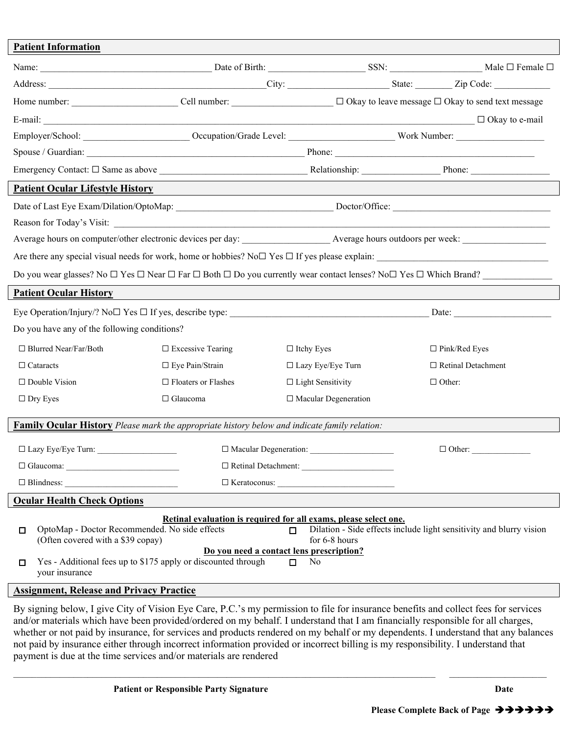| <b>Patient Information</b>                                                                                                                           |                                                                          |                                                                                                                                                    |                                                                                                                                                                                                                                                                        |  |  |  |  |  |
|------------------------------------------------------------------------------------------------------------------------------------------------------|--------------------------------------------------------------------------|----------------------------------------------------------------------------------------------------------------------------------------------------|------------------------------------------------------------------------------------------------------------------------------------------------------------------------------------------------------------------------------------------------------------------------|--|--|--|--|--|
|                                                                                                                                                      |                                                                          |                                                                                                                                                    |                                                                                                                                                                                                                                                                        |  |  |  |  |  |
|                                                                                                                                                      |                                                                          |                                                                                                                                                    |                                                                                                                                                                                                                                                                        |  |  |  |  |  |
|                                                                                                                                                      |                                                                          |                                                                                                                                                    | Home number: ___________________________Cell number: ___________________________ □ Okay to leave message □ Okay to send text message                                                                                                                                   |  |  |  |  |  |
|                                                                                                                                                      |                                                                          |                                                                                                                                                    |                                                                                                                                                                                                                                                                        |  |  |  |  |  |
|                                                                                                                                                      |                                                                          |                                                                                                                                                    |                                                                                                                                                                                                                                                                        |  |  |  |  |  |
|                                                                                                                                                      |                                                                          |                                                                                                                                                    |                                                                                                                                                                                                                                                                        |  |  |  |  |  |
|                                                                                                                                                      |                                                                          |                                                                                                                                                    |                                                                                                                                                                                                                                                                        |  |  |  |  |  |
| <b>Patient Ocular Lifestyle History</b>                                                                                                              |                                                                          |                                                                                                                                                    |                                                                                                                                                                                                                                                                        |  |  |  |  |  |
|                                                                                                                                                      |                                                                          |                                                                                                                                                    |                                                                                                                                                                                                                                                                        |  |  |  |  |  |
|                                                                                                                                                      |                                                                          |                                                                                                                                                    |                                                                                                                                                                                                                                                                        |  |  |  |  |  |
|                                                                                                                                                      |                                                                          |                                                                                                                                                    |                                                                                                                                                                                                                                                                        |  |  |  |  |  |
| Are there any special visual needs for work, home or hobbies? No $\square$ If yes please explain:                                                    |                                                                          |                                                                                                                                                    |                                                                                                                                                                                                                                                                        |  |  |  |  |  |
| Do you wear glasses? No $\Box$ Yes $\Box$ Near $\Box$ Far $\Box$ Both $\Box$ Do you currently wear contact lenses? No $\Box$ Yes $\Box$ Which Brand? |                                                                          |                                                                                                                                                    |                                                                                                                                                                                                                                                                        |  |  |  |  |  |
| <b>Patient Ocular History</b>                                                                                                                        |                                                                          |                                                                                                                                                    |                                                                                                                                                                                                                                                                        |  |  |  |  |  |
|                                                                                                                                                      | Eye Operation/Injury/? No $\square$ Yes $\square$ If yes, describe type: |                                                                                                                                                    |                                                                                                                                                                                                                                                                        |  |  |  |  |  |
| Do you have any of the following conditions?                                                                                                         |                                                                          |                                                                                                                                                    |                                                                                                                                                                                                                                                                        |  |  |  |  |  |
| $\Box$ Blurred Near/Far/Both                                                                                                                         | $\square$ Excessive Tearing                                              | $\Box$ Itchy Eyes                                                                                                                                  | $\Box$ Pink/Red Eyes                                                                                                                                                                                                                                                   |  |  |  |  |  |
| $\Box$ Cataracts                                                                                                                                     | $\Box$ Eye Pain/Strain                                                   | $\Box$ Lazy Eye/Eye Turn                                                                                                                           | □ Retinal Detachment                                                                                                                                                                                                                                                   |  |  |  |  |  |
| $\Box$ Double Vision                                                                                                                                 | $\Box$ Floaters or Flashes                                               | $\Box$ Light Sensitivity                                                                                                                           | $\Box$ Other:                                                                                                                                                                                                                                                          |  |  |  |  |  |
| $\Box$ Dry Eyes                                                                                                                                      | $\Box$ Glaucoma                                                          | $\Box$ Macular Degeneration                                                                                                                        |                                                                                                                                                                                                                                                                        |  |  |  |  |  |
|                                                                                                                                                      |                                                                          |                                                                                                                                                    |                                                                                                                                                                                                                                                                        |  |  |  |  |  |
| <b>Family Ocular History</b> Please mark the appropriate history below and indicate family relation:                                                 |                                                                          |                                                                                                                                                    |                                                                                                                                                                                                                                                                        |  |  |  |  |  |
| $\Box$ Lazy Eye/Eye Turn:                                                                                                                            |                                                                          | $\Box$ Macular Degeneration:                                                                                                                       | $\Box$ Other:                                                                                                                                                                                                                                                          |  |  |  |  |  |
|                                                                                                                                                      |                                                                          |                                                                                                                                                    |                                                                                                                                                                                                                                                                        |  |  |  |  |  |
| $\Box$ Blindness:                                                                                                                                    | $\Box$ Keratoconus:                                                      |                                                                                                                                                    |                                                                                                                                                                                                                                                                        |  |  |  |  |  |
| <b>Ocular Health Check Options</b>                                                                                                                   |                                                                          |                                                                                                                                                    |                                                                                                                                                                                                                                                                        |  |  |  |  |  |
| OptoMap - Doctor Recommended. No side effects<br>□<br>(Often covered with a \$39 copay)<br>□<br>your insurance                                       | Yes - Additional fees up to \$175 apply or discounted through            | Retinal evaluation is required for all exams, please select one.<br>п<br>for 6-8 hours<br>Do you need a contact lens prescription?<br>No<br>$\Box$ | Dilation - Side effects include light sensitivity and blurry vision                                                                                                                                                                                                    |  |  |  |  |  |
| <b>Assignment, Release and Privacy Practice</b>                                                                                                      |                                                                          |                                                                                                                                                    |                                                                                                                                                                                                                                                                        |  |  |  |  |  |
|                                                                                                                                                      |                                                                          |                                                                                                                                                    | By signing below, I give City of Vision Eye Care, P.C.'s my permission to file for insurance benefits and collect fees for services<br>and/or materials which have been provided/ordered on my behalf. I understand that I am financially responsible for all charges, |  |  |  |  |  |

whether or not paid by insurance, for services and products rendered on my behalf or my dependents. I understand that any balances not paid by insurance either through incorrect information provided or incorrect billing is my responsibility. I understand that payment is due at the time services and/or materials are rendered

\_\_\_\_\_\_\_\_\_\_\_\_\_\_\_\_\_\_\_\_\_\_\_\_\_\_\_\_\_\_\_\_\_\_\_\_\_\_\_\_\_\_\_\_\_\_\_\_\_\_\_\_\_\_\_\_\_\_\_\_\_\_\_\_\_\_\_\_\_\_\_\_\_\_\_\_\_\_\_\_\_\_\_\_\_\_\_\_\_\_\_ \_\_\_\_\_\_\_\_\_\_\_\_\_\_\_\_\_\_\_\_\_